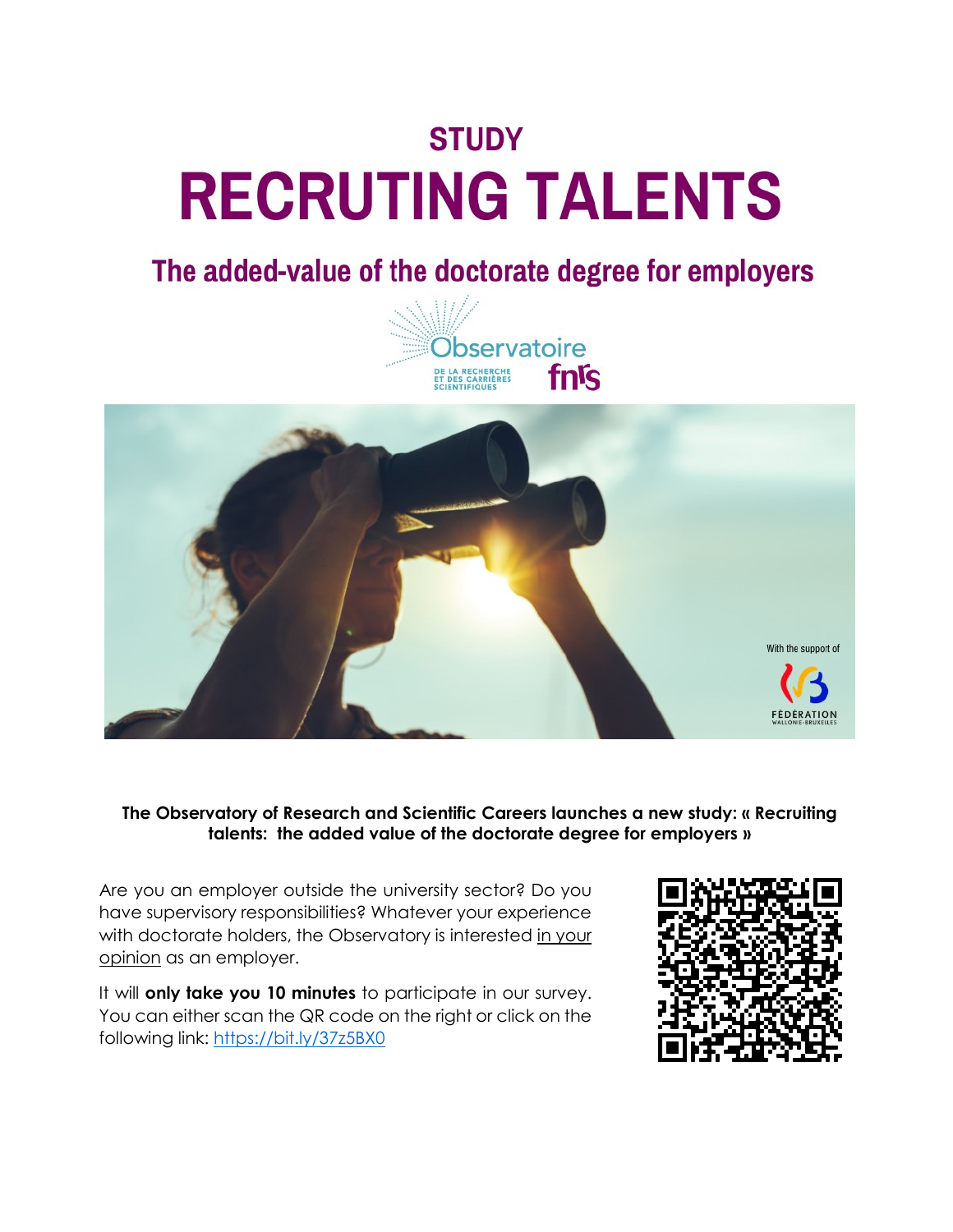# **STUDY RECRUTING TALENTS**

## The added-value of the doctorate degree for employers





**The Observatory of Research and Scientific Careers launches a new study: « Recruiting talents: the added value of the doctorate degree for employers »**

Are you an employer outside the university sector? Do you have supervisory responsibilities? Whatever your experience with doctorate holders, the Observatory is interested in your opinion as an employer.

It will **only take you 10 minutes** to participate in our survey. You can either scan the QR code on the right or click on the following link: <https://bit.ly/37z5BX0>